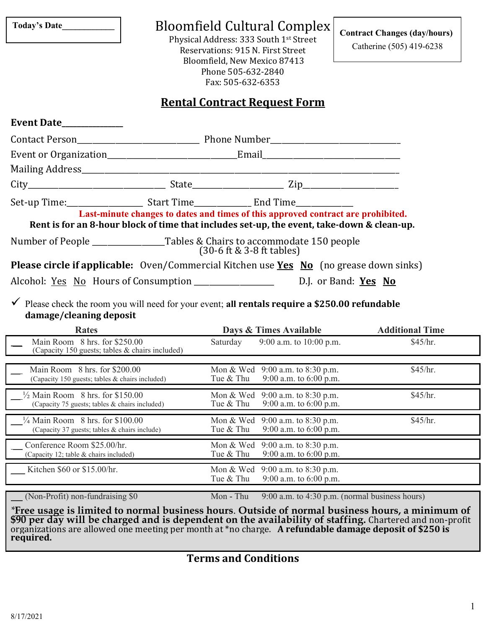**Today's Date\_\_\_\_\_\_\_\_\_\_\_\_**

 $\overline{a}$ 

Bloomfield Cultural Complex

Physical Address: 333 South 1st Street Reservations: 915 N. First Street Bloomfield, New Mexico 87413 Phone 505-632-2840 Fax: 505-632-6353

**Contract Changes (day/hours)**

Catherine (505) 419-6238

## **Rental Contract Request Form**

| Event Date____________                                                                                   |  |                                                                                                                                                                                |  |
|----------------------------------------------------------------------------------------------------------|--|--------------------------------------------------------------------------------------------------------------------------------------------------------------------------------|--|
|                                                                                                          |  |                                                                                                                                                                                |  |
|                                                                                                          |  |                                                                                                                                                                                |  |
|                                                                                                          |  |                                                                                                                                                                                |  |
|                                                                                                          |  |                                                                                                                                                                                |  |
|                                                                                                          |  | Last-minute changes to dates and times of this approved contract are prohibited.<br>Rent is for an 8-hour block of time that includes set-up, the event, take-down & clean-up. |  |
|                                                                                                          |  | $(30-6 \text{ ft } 8 \text{ 3-8 ft tables})$                                                                                                                                   |  |
| <b>Please circle if applicable:</b> Oven/Commercial Kitchen use <b>Yes</b> No (no grease down sinks)     |  |                                                                                                                                                                                |  |
| Alcohol: <u>Yes No</u> Hours of Consumption _________________________________D.J. or Band: <b>Yes No</b> |  |                                                                                                                                                                                |  |

✓ Please check the room you will need for your event; **all rentals require a \$250.00 refundable damage/cleaning deposit**

| <b>Rates</b>                                                                     |                        | Days & Times Available                             | <b>Additional Time</b> |
|----------------------------------------------------------------------------------|------------------------|----------------------------------------------------|------------------------|
| Main Room 8 hrs. for \$250.00<br>(Capacity 150 guests; tables & chairs included) | Saturday               | 9:00 a.m. to 10:00 p.m.                            | \$45/hr.               |
| Main Room 8 hrs. for \$200.00                                                    | Mon & Wed              | 9:00 a.m. to $8:30$ p.m.                           | \$45/hr.               |
| (Capacity 150 guests; tables & chairs included)                                  | Tue & Thu              | 9:00 a.m. to $6:00$ p.m.                           |                        |
| $\frac{1}{2}$ Main Room 8 hrs. for \$150.00                                      | Mon & Wed              | 9:00 a.m. to 8:30 p.m.                             | \$45/hr.               |
| (Capacity 75 guests; tables & chairs included)                                   | Tue & Thu              | 9:00 a.m. to $6:00$ p.m.                           |                        |
| $\frac{1}{4}$ Main Room 8 hrs. for \$100.00                                      | Mon & Wed              | 9:00 a.m. to 8:30 p.m.                             | \$45/hr.               |
| (Capacity 37 guests; tables & chairs include)                                    | Tue & Thu              | 9:00 a.m. to $6:00$ p.m.                           |                        |
| Conference Room \$25.00/hr.                                                      | Mon & Wed              | 9:00 a.m. to $8:30$ p.m.                           |                        |
| (Capacity 12; table & chairs included)                                           | Tue & Thu              | 9:00 a.m. to $6:00$ p.m.                           |                        |
| Kitchen \$60 or \$15.00/hr.                                                      | Mon & Wed<br>Tue & Thu | 9:00 a.m. to 8:30 p.m.<br>9:00 a.m. to $6:00$ p.m. |                        |

(Non-Profit) non-fundraising \$0 Mon - Thu 9:00 a.m. to 4:30 p.m. (normal business hours) Mon - Thu

 *\****Free usage is limited to normal business hours**. **Outside of normal business hours, a minimum of \$90 per day will be charged and is dependent on the availability of staffing.** Chartered and non-profit organizations are allowed one meeting per month at \*no charge. **A refundable damage deposit of \$250 is required.** 

**Terms and Conditions**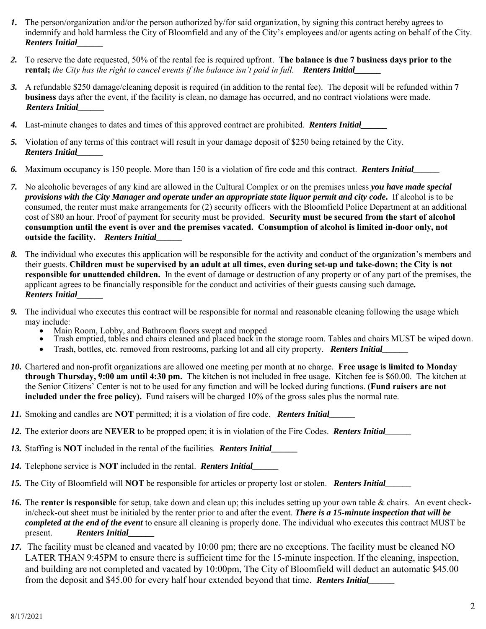- *1.* The person/organization and/or the person authorized by/for said organization, by signing this contract hereby agrees to indemnify and hold harmless the City of Bloomfield and any of the City's employees and/or agents acting on behalf of the City. *Renters Initial\_\_\_\_\_\_*
- *2.* To reserve the date requested, 50% of the rental fee is required upfront. **The balance is due 7 business days prior to the rental;** *the City has the right to cancel events if the balance isn't paid in full. Renters Initial\_\_\_\_\_\_*
- *3.* A refundable \$250 damage/cleaning deposit is required (in addition to the rental fee). The deposit will be refunded within **7 business** days after the event, if the facility is clean, no damage has occurred, and no contract violations were made. *Renters Initial\_\_\_\_\_\_*
- *4.* Last-minute changes to dates and times of this approved contract are prohibited. *Renters Initial\_\_\_\_\_\_*
- *5.* Violation of any terms of this contract will result in your damage deposit of \$250 being retained by the City. *Renters Initial\_\_\_\_\_\_*
- *6.* Maximum occupancy is 150 people. More than 150 is a violation of fire code and this contract. *Renters Initial\_\_\_\_\_\_*
- *7.* No alcoholic beverages of any kind are allowed in the Cultural Complex or on the premises unless *you have made special provisions with the City Manager and operate under an appropriate state liquor permit and city code***.** If alcohol is to be consumed, the renter must make arrangements for (2) security officers with the Bloomfield Police Department at an additional cost of \$80 an hour. Proof of payment for security must be provided. **Security must be secured from the start of alcohol consumption until the event is over and the premises vacated. Consumption of alcohol is limited in-door only, not outside the facility.** *Renters Initial\_\_\_\_\_\_*
- *8.* The individual who executes this application will be responsible for the activity and conduct of the organization's members and their guests. **Children must be supervised by an adult at all times, even during set-up and take-down; the City is not responsible for unattended children.** In the event of damage or destruction of any property or of any part of the premises, the applicant agrees to be financially responsible for the conduct and activities of their guests causing such damage*. Renters Initial\_\_\_\_\_\_*
- *9.* The individual who executes this contract will be responsible for normal and reasonable cleaning following the usage which may include:
	- Main Room, Lobby, and Bathroom floors swept and mopped
	- Trash emptied, tables and chairs cleaned and placed back in the storage room. Tables and chairs MUST be wiped down.
	- Trash, bottles, etc. removed from restrooms, parking lot and all city property. *Renters Initial\_\_\_\_\_\_*
- *10.* Chartered and non-profit organizations are allowed one meeting per month at no charge. **Free usage is limited to Monday through Thursday, 9:00 am until 4:30 pm.** The kitchen is not included in free usage. Kitchen fee is \$60.00. The kitchen at the Senior Citizens' Center is not to be used for any function and will be locked during functions. **(Fund raisers are not included under the free policy).** Fund raisers will be charged 10% of the gross sales plus the normal rate.
- *11.* Smoking and candles are **NOT** permitted; it is a violation of fire code. *Renters Initial\_\_\_\_\_\_*
- *12.* The exterior doors are **NEVER** to be propped open; it is in violation of the Fire Codes. *Renters Initial\_\_\_\_\_\_*
- *13.* Staffing is **NOT** included in the rental of the facilities*. Renters Initial\_\_\_\_\_\_*
- *14.* Telephone service is **NOT** included in the rental. *Renters Initial\_\_\_\_\_\_*
- *15.* The City of Bloomfield will **NOT** be responsible for articles or property lost or stolen. *Renters Initial\_\_\_\_\_\_*
- *16.* The **renter is responsible** for setup, take down and clean up; this includes setting up your own table & chairs. An event checkin/check-out sheet must be initialed by the renter prior to and after the event. *There is a 15-minute inspection that will be completed at the end of the event* to ensure all cleaning is properly done. The individual who executes this contract MUST be present. *Renters Initial\_\_\_\_\_\_*
- *17.* The facility must be cleaned and vacated by 10:00 pm; there are no exceptions. The facility must be cleaned NO LATER THAN 9:45PM to ensure there is sufficient time for the 15-minute inspection. If the cleaning, inspection, and building are not completed and vacated by 10:00pm, The City of Bloomfield will deduct an automatic \$45.00 from the deposit and \$45.00 for every half hour extended beyond that time. *Renters Initial\_\_\_\_\_\_*